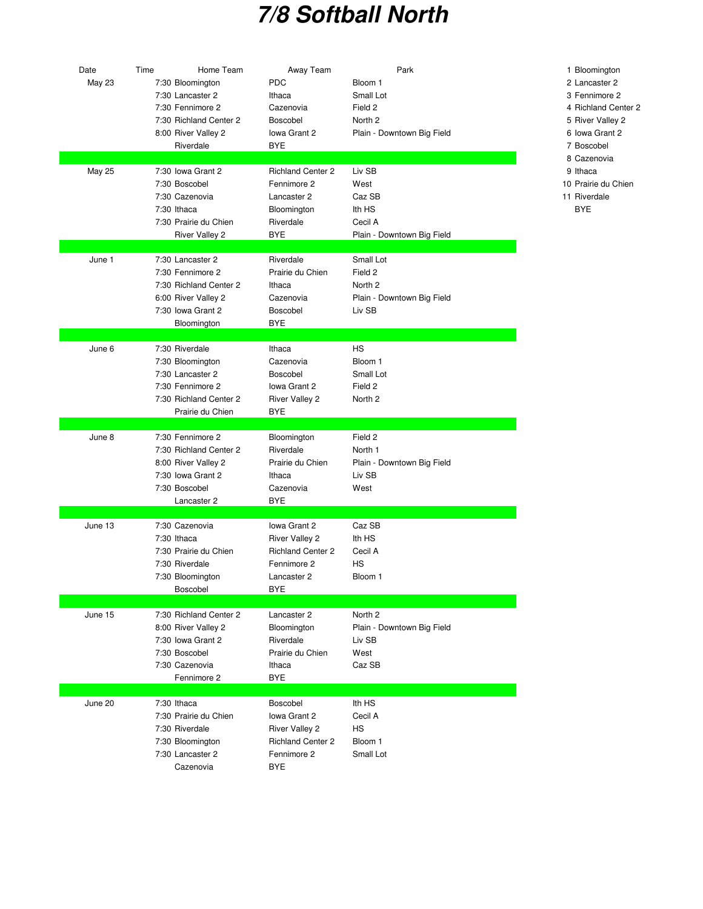## **7/8 Softball North**

| Date<br>May 23 | Time<br>Home Team<br>7:30 Bloomington<br>7:30 Lancaster 2<br>7:30 Fennimore 2<br>7:30 Richland Center 2<br>8:00 River Valley 2<br>Riverdale | Away Team<br><b>PDC</b><br>Ithaca<br>Cazenovia<br>Boscobel<br>Iowa Grant 2<br><b>BYE</b>                      | Park<br>Bloom 1<br>Small Lot<br>Field 2<br>North <sub>2</sub><br>Plain - Downtown Big Field | 1 Bloomingtor<br>2 Lancaster 2<br>3 Fennimore<br>4 Richland Ce<br>5 River Valley<br>6 Iowa Grant<br>7 Boscobel |
|----------------|---------------------------------------------------------------------------------------------------------------------------------------------|---------------------------------------------------------------------------------------------------------------|---------------------------------------------------------------------------------------------|----------------------------------------------------------------------------------------------------------------|
| <b>May 25</b>  | 7:30 Iowa Grant 2<br>7:30 Boscobel<br>7:30 Cazenovia<br>7:30 Ithaca<br>7:30 Prairie du Chien<br><b>River Valley 2</b>                       | <b>Richland Center 2</b><br>Fennimore 2<br>Lancaster 2<br>Bloomington<br>Riverdale<br>BYE                     | Liv SB<br>West<br>Caz SB<br>Ith HS<br>Cecil A<br>Plain - Downtown Big Field                 | 8 Cazenovia<br>9 Ithaca<br>10 Prairie du C<br>11 Riverdale<br><b>BYE</b>                                       |
| June 1         | 7:30 Lancaster 2<br>7:30 Fennimore 2<br>7:30 Richland Center 2<br>6:00 River Valley 2<br>7:30 Iowa Grant 2<br>Bloomington                   | Riverdale<br>Prairie du Chien<br>Ithaca<br>Cazenovia<br><b>Boscobel</b><br><b>BYE</b>                         | Small Lot<br>Field 2<br>North <sub>2</sub><br>Plain - Downtown Big Field<br>Liv SB          |                                                                                                                |
| June 6         | 7:30 Riverdale<br>7:30 Bloomington<br>7:30 Lancaster 2<br>7:30 Fennimore 2<br>7:30 Richland Center 2<br>Prairie du Chien                    | Ithaca<br>Cazenovia<br>Boscobel<br>Iowa Grant 2<br><b>River Valley 2</b><br><b>BYE</b>                        | <b>HS</b><br>Bloom 1<br>Small Lot<br>Field 2<br>North 2                                     |                                                                                                                |
| June 8         | 7:30 Fennimore 2<br>7:30 Richland Center 2<br>8:00 River Valley 2<br>7:30 Iowa Grant 2<br>7:30 Boscobel<br>Lancaster 2                      | Bloomington<br>Riverdale<br>Prairie du Chien<br>Ithaca<br>Cazenovia<br><b>BYE</b>                             | Field 2<br>North 1<br>Plain - Downtown Big Field<br>Liv SB<br>West                          |                                                                                                                |
| June 13        | 7:30 Cazenovia<br>7:30 Ithaca<br>7:30 Prairie du Chien<br>7:30 Riverdale<br>7:30 Bloomington<br>Boscobel                                    | Iowa Grant 2<br><b>River Valley 2</b><br><b>Richland Center 2</b><br>Fennimore 2<br>Lancaster 2<br><b>BYE</b> | Caz SB<br>Ith HS<br>Cecil A<br>HS<br>Bloom 1                                                |                                                                                                                |
| June 15        | 7:30 Richland Center 2<br>8:00 River Valley 2<br>7:30 Iowa Grant 2<br>7:30 Boscobel<br>7:30 Cazenovia<br>Fennimore 2                        | Lancaster 2<br>Bloomington<br>Riverdale<br>Prairie du Chien<br>Ithaca<br><b>BYE</b>                           | North <sub>2</sub><br>Plain - Downtown Big Field<br>Liv SB<br>West<br>Caz SB                |                                                                                                                |
| June 20        | 7:30 Ithaca<br>7:30 Prairie du Chien<br>7:30 Riverdale<br>7:30 Bloomington<br>7:30 Lancaster 2<br>Cazenovia                                 | Boscobel<br>Iowa Grant 2<br><b>River Valley 2</b><br><b>Richland Center 2</b><br>Fennimore 2<br><b>BYE</b>    | Ith HS<br>Cecil A<br>HS<br>Bloom 1<br>Small Lot                                             |                                                                                                                |

## 1 Bloomington

- 
- 3 Fennimore 2
- 4 Richland Center 2
- 5 River Valley 2
- 6 Iowa Grant 2
- 7 Boscobel
- 8 Cazenovia
- 
- 
- 10 Prairie du Chien 11 Riverdale
	-